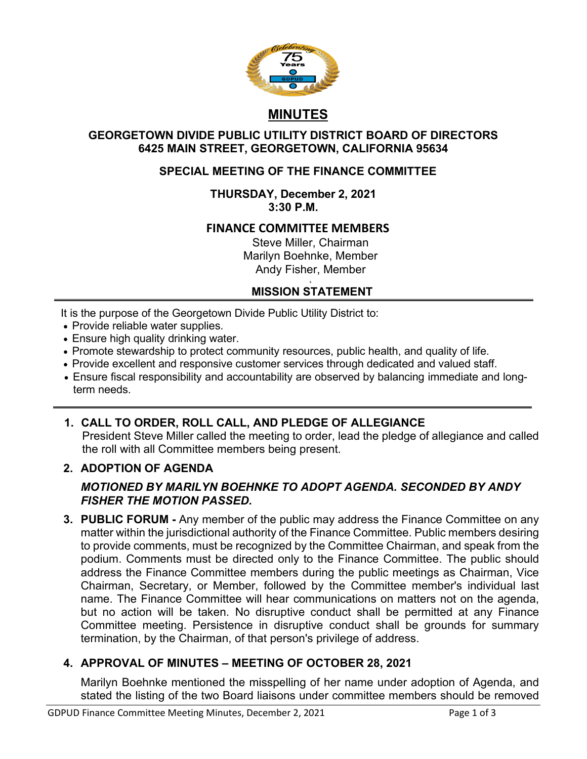

# **MINUTES**

### **GEORGETOWN DIVIDE PUBLIC UTILITY DISTRICT BOARD OF DIRECTORS 6425 MAIN STREET, GEORGETOWN, CALIFORNIA 95634**

## **SPECIAL MEETING OF THE FINANCE COMMITTEE**

### **THURSDAY, December 2, 2021 3:30 P.M.**

## **FINANCE COMMITTEE MEMBERS**

Steve Miller, Chairman Marilyn Boehnke, Member Andy Fisher, Member

#### +  **MISSION STATEMENT**

It is the purpose of the Georgetown Divide Public Utility District to:

- Provide reliable water supplies.
- Ensure high quality drinking water.
- Promote stewardship to protect community resources, public health, and quality of life.
- Provide excellent and responsive customer services through dedicated and valued staff.
- Ensure fiscal responsibility and accountability are observed by balancing immediate and longterm needs.
- **1. CALL TO ORDER, ROLL CALL, AND PLEDGE OF ALLEGIANCE** President Steve Miller called the meeting to order, lead the pledge of allegiance and called the roll with all Committee members being present.

## **2. ADOPTION OF AGENDA**

## *MOTIONED BY MARILYN BOEHNKE TO ADOPT AGENDA. SECONDED BY ANDY FISHER THE MOTION PASSED.*

**3. PUBLIC FORUM -** Any member of the public may address the Finance Committee on any matter within the jurisdictional authority of the Finance Committee. Public members desiring to provide comments, must be recognized by the Committee Chairman, and speak from the podium. Comments must be directed only to the Finance Committee. The public should address the Finance Committee members during the public meetings as Chairman, Vice Chairman, Secretary, or Member, followed by the Committee member's individual last name. The Finance Committee will hear communications on matters not on the agenda, but no action will be taken. No disruptive conduct shall be permitted at any Finance Committee meeting. Persistence in disruptive conduct shall be grounds for summary termination, by the Chairman, of that person's privilege of address.

## **4. APPROVAL OF MINUTES – MEETING OF OCTOBER 28, 2021**

Marilyn Boehnke mentioned the misspelling of her name under adoption of Agenda, and stated the listing of the two Board liaisons under committee members should be removed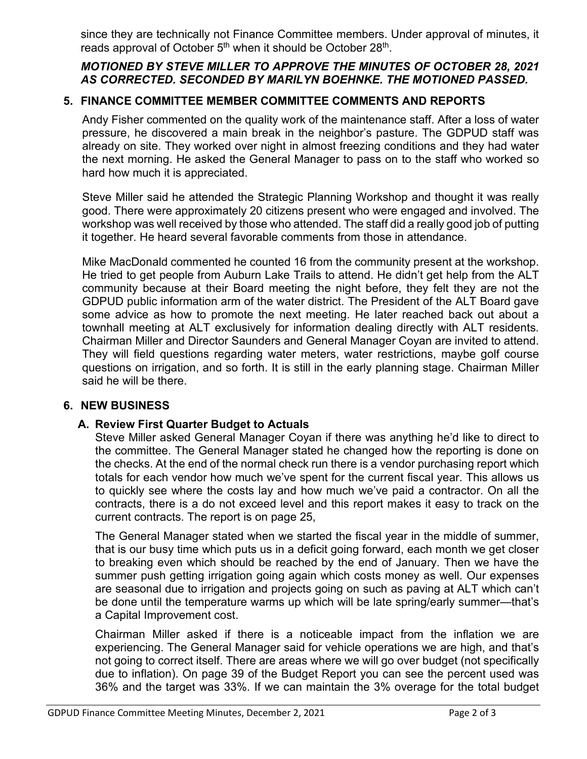since they are technically not Finance Committee members. Under approval of minutes, it reads approval of October 5<sup>th</sup> when it should be October 28<sup>th</sup>.

## *MOTIONED BY STEVE MILLER TO APPROVE THE MINUTES OF OCTOBER 28, 2021 AS CORRECTED. SECONDED BY MARILYN BOEHNKE. THE MOTIONED PASSED.*

## **5. FINANCE COMMITTEE MEMBER COMMITTEE COMMENTS AND REPORTS**

Andy Fisher commented on the quality work of the maintenance staff. After a loss of water pressure, he discovered a main break in the neighbor's pasture. The GDPUD staff was already on site. They worked over night in almost freezing conditions and they had water the next morning. He asked the General Manager to pass on to the staff who worked so hard how much it is appreciated.

Steve Miller said he attended the Strategic Planning Workshop and thought it was really good. There were approximately 20 citizens present who were engaged and involved. The workshop was well received by those who attended. The staff did a really good job of putting it together. He heard several favorable comments from those in attendance.

Mike MacDonald commented he counted 16 from the community present at the workshop. He tried to get people from Auburn Lake Trails to attend. He didn't get help from the ALT community because at their Board meeting the night before, they felt they are not the GDPUD public information arm of the water district. The President of the ALT Board gave some advice as how to promote the next meeting. He later reached back out about a townhall meeting at ALT exclusively for information dealing directly with ALT residents. Chairman Miller and Director Saunders and General Manager Coyan are invited to attend. They will field questions regarding water meters, water restrictions, maybe golf course questions on irrigation, and so forth. It is still in the early planning stage. Chairman Miller said he will be there.

## **6. NEW BUSINESS**

## **A. Review First Quarter Budget to Actuals**

Steve Miller asked General Manager Coyan if there was anything he'd like to direct to the committee. The General Manager stated he changed how the reporting is done on the checks. At the end of the normal check run there is a vendor purchasing report which totals for each vendor how much we've spent for the current fiscal year. This allows us to quickly see where the costs lay and how much we've paid a contractor. On all the contracts, there is a do not exceed level and this report makes it easy to track on the current contracts. The report is on page 25,

The General Manager stated when we started the fiscal year in the middle of summer, that is our busy time which puts us in a deficit going forward, each month we get closer to breaking even which should be reached by the end of January. Then we have the summer push getting irrigation going again which costs money as well. Our expenses are seasonal due to irrigation and projects going on such as paving at ALT which can't be done until the temperature warms up which will be late spring/early summer—that's a Capital Improvement cost.

Chairman Miller asked if there is a noticeable impact from the inflation we are experiencing. The General Manager said for vehicle operations we are high, and that's not going to correct itself. There are areas where we will go over budget (not specifically due to inflation). On page 39 of the Budget Report you can see the percent used was 36% and the target was 33%. If we can maintain the 3% overage for the total budget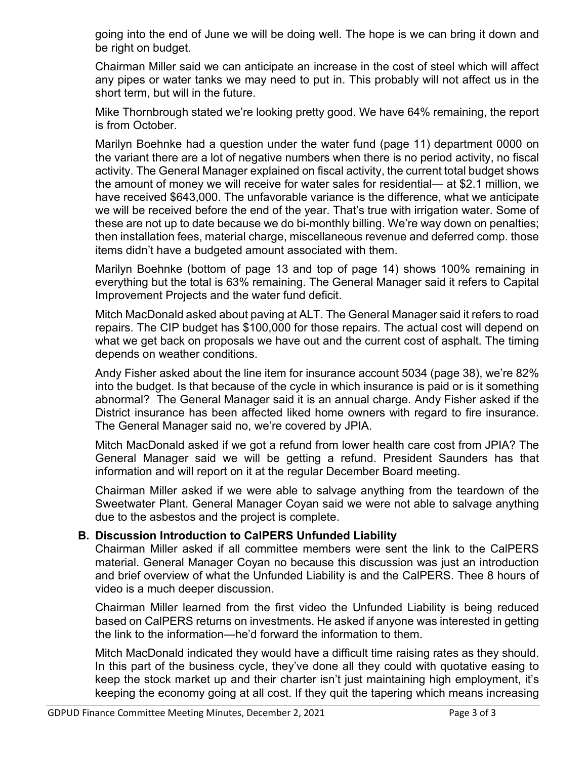going into the end of June we will be doing well. The hope is we can bring it down and be right on budget.

Chairman Miller said we can anticipate an increase in the cost of steel which will affect any pipes or water tanks we may need to put in. This probably will not affect us in the short term, but will in the future.

Mike Thornbrough stated we're looking pretty good. We have 64% remaining, the report is from October.

Marilyn Boehnke had a question under the water fund (page 11) department 0000 on the variant there are a lot of negative numbers when there is no period activity, no fiscal activity. The General Manager explained on fiscal activity, the current total budget shows the amount of money we will receive for water sales for residential— at \$2.1 million, we have received \$643,000. The unfavorable variance is the difference, what we anticipate we will be received before the end of the year. That's true with irrigation water. Some of these are not up to date because we do bi-monthly billing. We're way down on penalties; then installation fees, material charge, miscellaneous revenue and deferred comp. those items didn't have a budgeted amount associated with them.

Marilyn Boehnke (bottom of page 13 and top of page 14) shows 100% remaining in everything but the total is 63% remaining. The General Manager said it refers to Capital Improvement Projects and the water fund deficit.

Mitch MacDonald asked about paving at ALT. The General Manager said it refers to road repairs. The CIP budget has \$100,000 for those repairs. The actual cost will depend on what we get back on proposals we have out and the current cost of asphalt. The timing depends on weather conditions.

Andy Fisher asked about the line item for insurance account 5034 (page 38), we're 82% into the budget. Is that because of the cycle in which insurance is paid or is it something abnormal? The General Manager said it is an annual charge. Andy Fisher asked if the District insurance has been affected liked home owners with regard to fire insurance. The General Manager said no, we're covered by JPIA.

Mitch MacDonald asked if we got a refund from lower health care cost from JPIA? The General Manager said we will be getting a refund. President Saunders has that information and will report on it at the regular December Board meeting.

Chairman Miller asked if we were able to salvage anything from the teardown of the Sweetwater Plant. General Manager Coyan said we were not able to salvage anything due to the asbestos and the project is complete.

#### **B. Discussion Introduction to CalPERS Unfunded Liability**

Chairman Miller asked if all committee members were sent the link to the CalPERS material. General Manager Coyan no because this discussion was just an introduction and brief overview of what the Unfunded Liability is and the CalPERS. Thee 8 hours of video is a much deeper discussion.

Chairman Miller learned from the first video the Unfunded Liability is being reduced based on CalPERS returns on investments. He asked if anyone was interested in getting the link to the information—he'd forward the information to them.

Mitch MacDonald indicated they would have a difficult time raising rates as they should. In this part of the business cycle, they've done all they could with quotative easing to keep the stock market up and their charter isn't just maintaining high employment, it's keeping the economy going at all cost. If they quit the tapering which means increasing